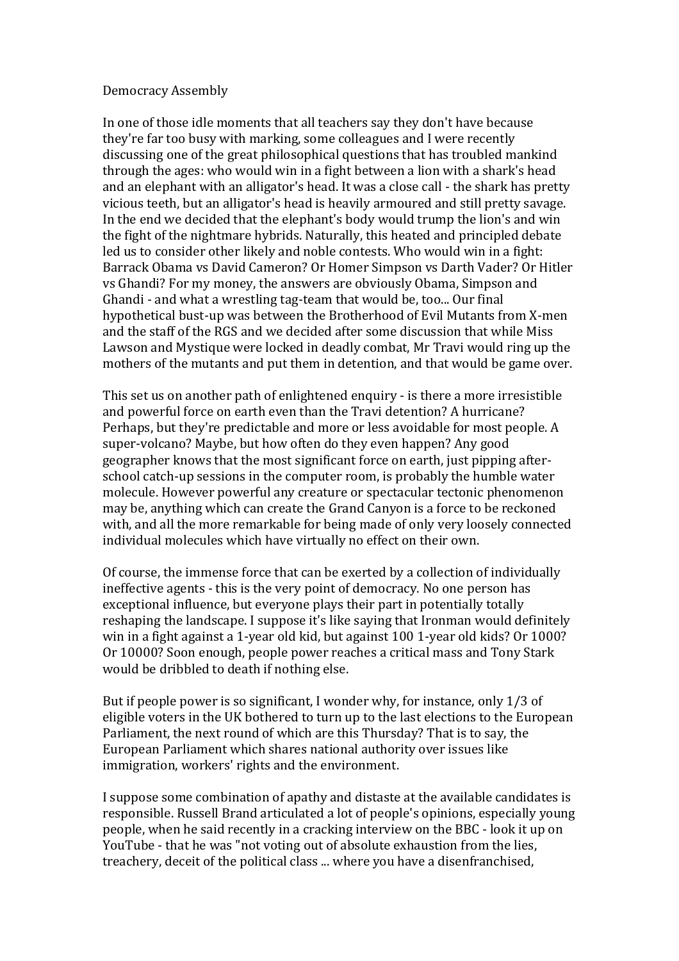## Democracy Assembly

In one of those idle moments that all teachers say they don't have because they're far too busy with marking, some colleagues and I were recently discussing one of the great philosophical questions that has troubled mankind through the ages: who would win in a fight between a lion with a shark's head and an elephant with an alligator's head. It was a close call - the shark has pretty vicious teeth, but an alligator's head is heavily armoured and still pretty savage. In the end we decided that the elephant's body would trump the lion's and win the fight of the nightmare hybrids. Naturally, this heated and principled debate led us to consider other likely and noble contests. Who would win in a fight: Barrack Obama vs David Cameron? Or Homer Simpson vs Darth Vader? Or Hitler vs Ghandi? For my money, the answers are obviously Obama, Simpson and Ghandi - and what a wrestling tag-team that would be, too... Our final hypothetical bust-up was between the Brotherhood of Evil Mutants from X-men and the staff of the RGS and we decided after some discussion that while Miss Lawson and Mystique were locked in deadly combat, Mr Travi would ring up the mothers of the mutants and put them in detention, and that would be game over.

This set us on another path of enlightened enquiry - is there a more irresistible and powerful force on earth even than the Travi detention? A hurricane? Perhaps, but they're predictable and more or less avoidable for most people. A super-volcano? Maybe, but how often do they even happen? Any good geographer knows that the most significant force on earth, just pipping afterschool catch-up sessions in the computer room, is probably the humble water molecule. However powerful any creature or spectacular tectonic phenomenon may be, anything which can create the Grand Canyon is a force to be reckoned with, and all the more remarkable for being made of only very loosely connected individual molecules which have virtually no effect on their own.

Of course, the immense force that can be exerted by a collection of individually ineffective agents - this is the very point of democracy. No one person has exceptional influence, but everyone plays their part in potentially totally reshaping the landscape. I suppose it's like saying that Ironman would definitely win in a fight against a 1-year old kid, but against 100 1-year old kids? Or 1000? Or 10000? Soon enough, people power reaches a critical mass and Tony Stark would be dribbled to death if nothing else.

But if people power is so significant, I wonder why, for instance, only 1/3 of eligible voters in the UK bothered to turn up to the last elections to the European Parliament, the next round of which are this Thursday? That is to say, the European Parliament which shares national authority over issues like immigration, workers' rights and the environment.

I suppose some combination of apathy and distaste at the available candidates is responsible. Russell Brand articulated a lot of people's opinions, especially young people, when he said recently in a cracking interview on the BBC - look it up on YouTube - that he was "not voting out of absolute exhaustion from the lies, treachery, deceit of the political class ... where you have a disenfranchised,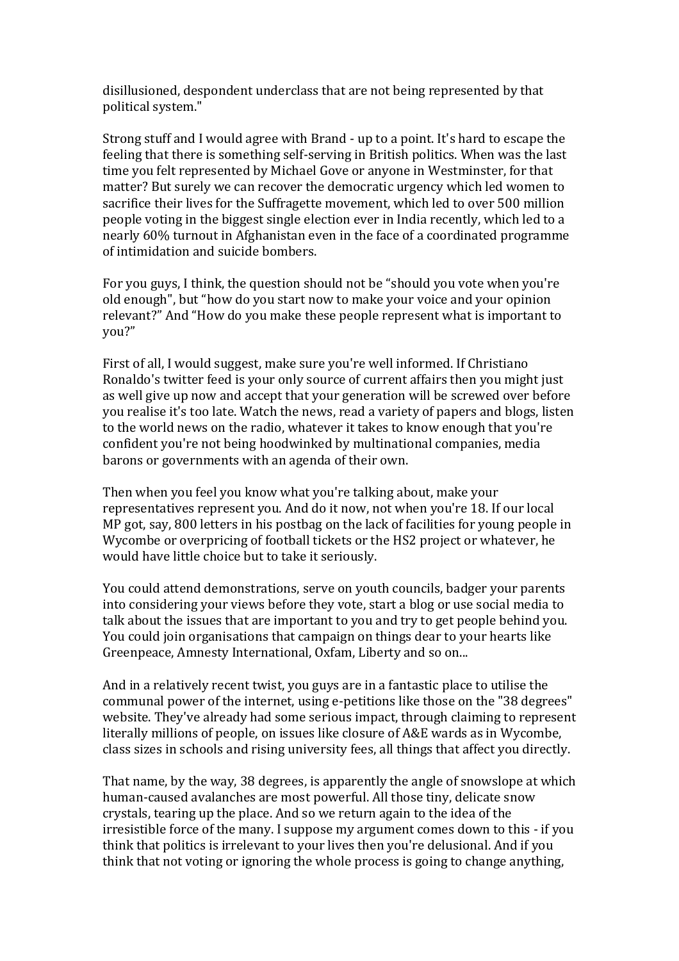disillusioned, despondent underclass that are not being represented by that political system."

Strong stuff and I would agree with Brand - up to a point. It's hard to escape the feeling that there is something self-serving in British politics. When was the last time you felt represented by Michael Gove or anyone in Westminster, for that matter? But surely we can recover the democratic urgency which led women to sacrifice their lives for the Suffragette movement, which led to over 500 million people voting in the biggest single election ever in India recently, which led to a nearly 60% turnout in Afghanistan even in the face of a coordinated programme of intimidation and suicide bombers.

For you guys, I think, the question should not be "should you vote when you're old enough", but "how do you start now to make your voice and your opinion relevant?" And "How do you make these people represent what is important to you?"

First of all, I would suggest, make sure you're well informed. If Christiano Ronaldo's twitter feed is your only source of current affairs then you might just as well give up now and accept that your generation will be screwed over before you realise it's too late. Watch the news, read a variety of papers and blogs, listen to the world news on the radio, whatever it takes to know enough that you're confident you're not being hoodwinked by multinational companies, media barons or governments with an agenda of their own.

Then when you feel you know what you're talking about, make your representatives represent you. And do it now, not when you're 18. If our local MP got, say, 800 letters in his postbag on the lack of facilities for young people in Wycombe or overpricing of football tickets or the HS2 project or whatever, he would have little choice but to take it seriously.

You could attend demonstrations, serve on youth councils, badger your parents into considering your views before they vote, start a blog or use social media to talk about the issues that are important to you and try to get people behind you. You could join organisations that campaign on things dear to your hearts like Greenpeace, Amnesty International, Oxfam, Liberty and so on...

And in a relatively recent twist, you guys are in a fantastic place to utilise the communal power of the internet, using e-petitions like those on the "38 degrees" website. They've already had some serious impact, through claiming to represent literally millions of people, on issues like closure of A&E wards as in Wycombe, class sizes in schools and rising university fees, all things that affect you directly.

That name, by the way, 38 degrees, is apparently the angle of snowslope at which human-caused avalanches are most powerful. All those tiny, delicate snow crystals, tearing up the place. And so we return again to the idea of the irresistible force of the many. I suppose my argument comes down to this - if you think that politics is irrelevant to your lives then you're delusional. And if you think that not voting or ignoring the whole process is going to change anything,